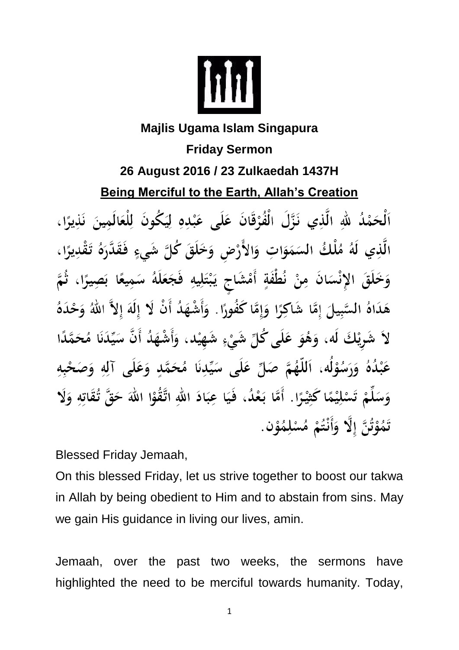

## **Majlis Ugama Islam Singapura Friday Sermon 26 August 2016 / 23 Zulkaedah 1437H Being Merciful to the Earth, Allah's Creation**

ٱلْحَمْدُ للَّهِ الَّذِي نَزَّلَ الْفُرْقَانَ عَلَى عَبْدِهِ لِيَكُونَ لِلْعَالَمِينَ نَذِيرًا، الَّذِي لَهُ مُلْكُ السَمَوَاتِ وَالأَرْضِ وَخَلَقَ كُلَّ شَيءٍ فَقَدَّرَهُ تَقْدِيرًا ، وَخَلَقَ الإِنْسَانَ مِنْ نُطْفَةٍ أَمْشَاجٍ يَبْتَلِيهِ فَجَعَلَهُ سَمِيعًا بَصِيرًا، ثُمَّ هَدَاهُ السَّبِيلَ إِمَّا شَاكِرًا وَإِمَّا كَفُورًا. وَأَشْهَدُ أَنْ لَا إِلَهَ إِلاَّ اللهُ وَحْدَهُ لاَ شَرِيْكَ لَه، وَهُوَ عَلَى كُلِّ شَيْءٍ شَهِيْد، وَأَشْهَدُ أَنَّ سَيِّدَنَا مُحَمَّدًا عَبْدُهُ وَرَسُوْلُه، اَللَّهُمَّ صَلِّ عَلَى سَيِّدِنَا مُحَمَّدٍ وَعَلَى آلِهِ وَصَحْبِهِ وَسَلِّمْ تَسْلِيْمًا كَثِيْرًا . أَمَّا بَعْدُ، فَيَا عِبَادَ اللهِ اتَّقُوْا اللهَ حَقَّ تُقَاتِهِ وَلَا تَمُوْتُنَّ إِلَّا وَأَنْتُمْ مُسْلِمُوْنٍ.

Blessed Friday Jemaah,

On this blessed Friday, let us strive together to boost our takwa in Allah by being obedient to Him and to abstain from sins. May we gain His guidance in living our lives, amin.

Jemaah, over the past two weeks, the sermons have highlighted the need to be merciful towards humanity. Today,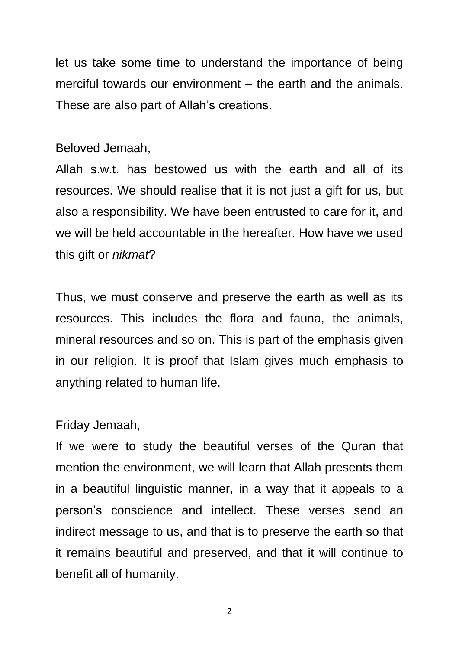let us take some time to understand the importance of being merciful towards our environment – the earth and the animals. These are also part of Allah's creations.

## Beloved Jemaah,

Allah s.w.t. has bestowed us with the earth and all of its resources. We should realise that it is not just a gift for us, but also a responsibility. We have been entrusted to care for it, and we will be held accountable in the hereafter. How have we used this gift or *nikmat*?

Thus, we must conserve and preserve the earth as well as its resources. This includes the flora and fauna, the animals, mineral resources and so on. This is part of the emphasis given in our religion. It is proof that Islam gives much emphasis to anything related to human life.

## Friday Jemaah,

If we were to study the beautiful verses of the Quran that mention the environment, we will learn that Allah presents them in a beautiful linguistic manner, in a way that it appeals to a person's conscience and intellect. These verses send an indirect message to us, and that is to preserve the earth so that it remains beautiful and preserved, and that it will continue to benefit all of humanity.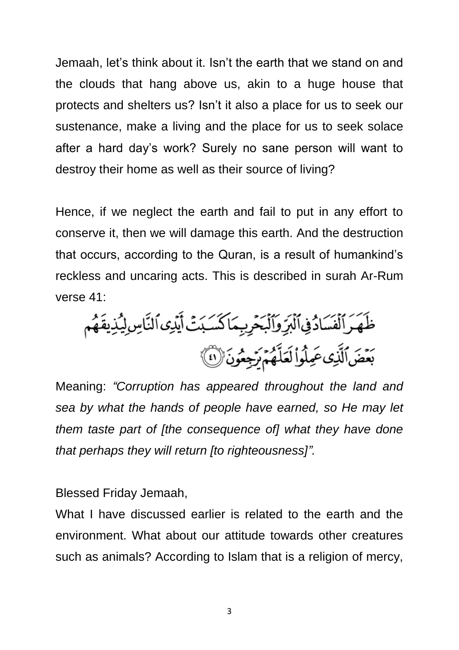Jemaah, let's think about it. Isn't the earth that we stand on and the clouds that hang above us, akin to a huge house that protects and shelters us? Isn't it also a place for us to seek our sustenance, make a living and the place for us to seek solace after a hard day's work? Surely no sane person will want to destroy their home as well as their source of living?

Hence, if we neglect the earth and fail to put in any effort to conserve it, then we will damage this earth. And the destruction that occurs, according to the Quran, is a result of humankind's reckless and uncaring acts. This is described in surah Ar-Rum verse 41:

Meaning: *"Corruption has appeared throughout the land and sea by what the hands of people have earned, so He may let them taste part of [the consequence of] what they have done that perhaps they will return [to righteousness]".*

Blessed Friday Jemaah,

What I have discussed earlier is related to the earth and the environment. What about our attitude towards other creatures such as animals? According to Islam that is a religion of mercy,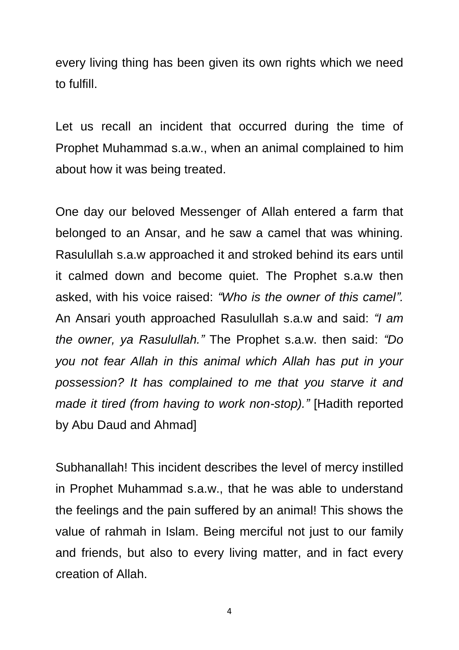every living thing has been given its own rights which we need to fulfill.

Let us recall an incident that occurred during the time of Prophet Muhammad s.a.w., when an animal complained to him about how it was being treated.

One day our beloved Messenger of Allah entered a farm that belonged to an Ansar, and he saw a camel that was whining. Rasulullah s.a.w approached it and stroked behind its ears until it calmed down and become quiet. The Prophet s.a.w then asked, with his voice raised: *"Who is the owner of this camel".* An Ansari youth approached Rasulullah s.a.w and said: *"I am the owner, ya Rasulullah."* The Prophet s.a.w. then said: *"Do you not fear Allah in this animal which Allah has put in your possession? It has complained to me that you starve it and made it tired (from having to work non-stop)."* [Hadith reported by Abu Daud and Ahmad]

Subhanallah! This incident describes the level of mercy instilled in Prophet Muhammad s.a.w., that he was able to understand the feelings and the pain suffered by an animal! This shows the value of rahmah in Islam. Being merciful not just to our family and friends, but also to every living matter, and in fact every creation of Allah.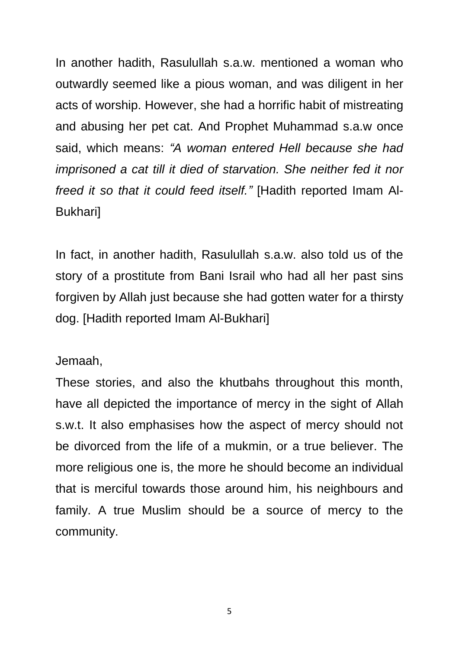In another hadith, Rasulullah s.a.w. mentioned a woman who outwardly seemed like a pious woman, and was diligent in her acts of worship. However, she had a horrific habit of mistreating and abusing her pet cat. And Prophet Muhammad s.a.w once said, which means: *"A woman entered Hell because she had imprisoned a cat till it died of starvation. She neither fed it nor freed it so that it could feed itself."* [Hadith reported Imam Al-Bukhari]

In fact, in another hadith, Rasulullah s.a.w. also told us of the story of a prostitute from Bani Israil who had all her past sins forgiven by Allah just because she had gotten water for a thirsty dog. [Hadith reported Imam Al-Bukhari]

Jemaah,

These stories, and also the khutbahs throughout this month, have all depicted the importance of mercy in the sight of Allah s.w.t. It also emphasises how the aspect of mercy should not be divorced from the life of a mukmin, or a true believer. The more religious one is, the more he should become an individual that is merciful towards those around him, his neighbours and family. A true Muslim should be a source of mercy to the community.